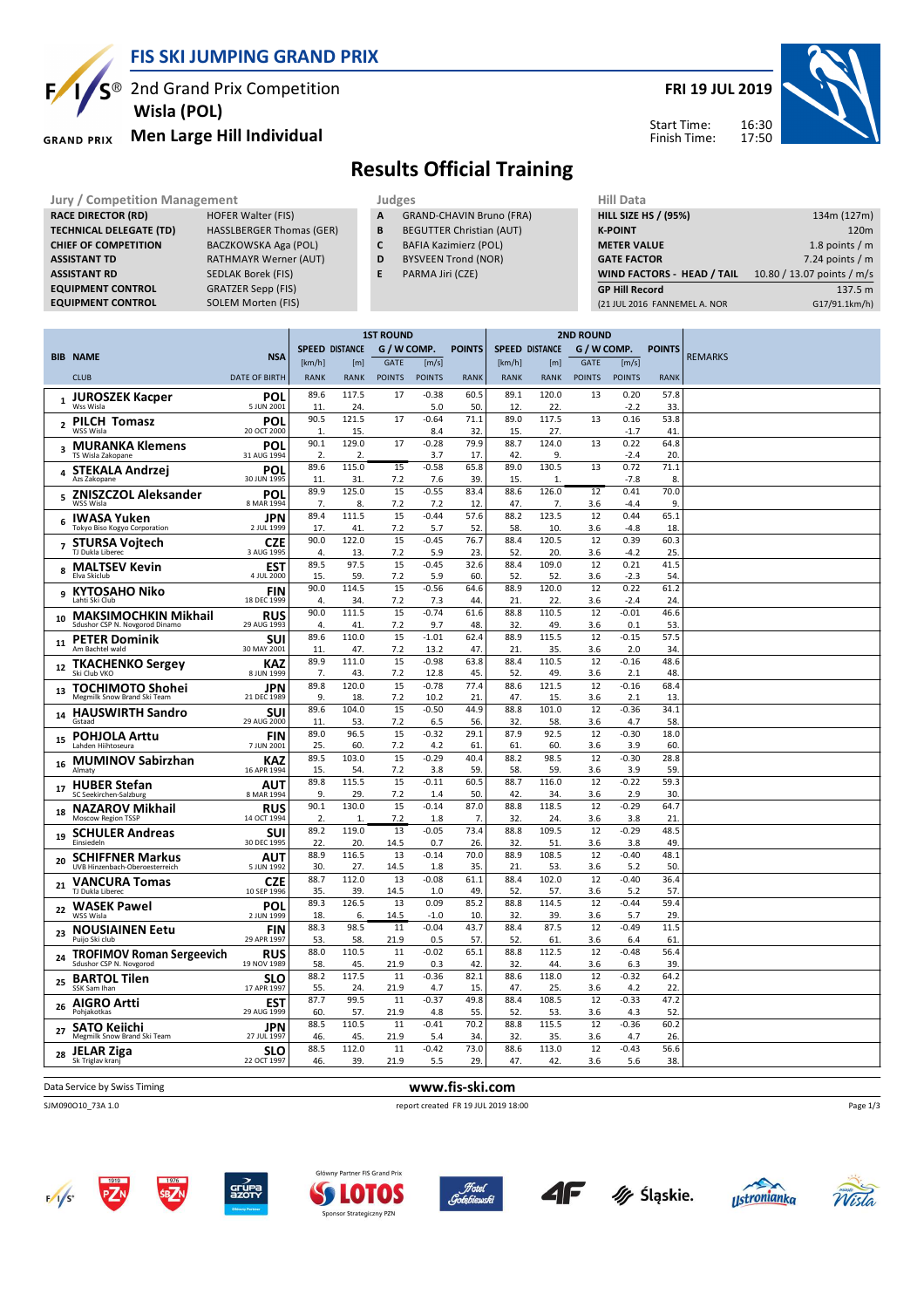

F

**FIS SKI JUMPING GRAND PRIX**

<sup>2</sup> 2nd Grand Prix Competition  **Wisla (POL)**

## **Men Large Hill Individual GRAND PRIX**

**RACE DIRECTOR (RD)** HOFER Walter (FIS) **TECHNICAL DELEGATE (TD)** HASSLBERGER Thomas (GER) **CHIEF OF COMPETITION** BACZKOWSKA Aga (POL) **ASSISTANT TD** RATHMAYR Werner (AUT) **ASSISTANT RD** SEDLAK Borek (FIS) **EQUIPMENT CONTROL** GRATZER Sepp (FIS) **EQUIPMENT CONTROL** SOLEM Morten (FIS)

**FRI 19 JUL 2019**

16:30 17:50 Start Time: Finish Time:



# **Results Official Training**

**Jury / Competition Management Mill Data Judges** Mill Data **Hill Data** 

- **A** GRAND-CHAVIN Bruno (FRA)
- **B** BEGUTTER Christian (AUT)
- **C** BAFIA Kazimierz (POL) **D** BYSVEEN Trond (NOR)
	-
- **E** PARMA Jiri (CZE)

| .                                 |                            |
|-----------------------------------|----------------------------|
| <b>HILL SIZE HS / (95%)</b>       | 134m (127m)                |
| <b>K-POINT</b>                    | 120 <sub>m</sub>           |
| <b>METER VALUE</b>                | 1.8 points $/m$            |
| <b>GATE FACTOR</b>                | 7.24 points $/m$           |
| <b>WIND FACTORS - HEAD / TAIL</b> | 10.80 / 13.07 points / m/s |
| <b>GP Hill Record</b>             | 137.5 m                    |
| (21 JUL 2016 FANNEMEL A. NOR      | G17/91.1km/h)              |
|                                   |                            |

|                |                                                               |                           | <b>1ST ROUND</b>     |                       | <b>2ND ROUND</b> |                 |               |                       |                       |               |                |               |                |
|----------------|---------------------------------------------------------------|---------------------------|----------------------|-----------------------|------------------|-----------------|---------------|-----------------------|-----------------------|---------------|----------------|---------------|----------------|
|                |                                                               |                           |                      | <b>SPEED DISTANCE</b> | G / W COMP.      |                 | <b>POINTS</b> | <b>SPEED DISTANCE</b> |                       | G / W COMP.   |                | <b>POINTS</b> |                |
|                | <b>BIB NAME</b>                                               | <b>NSA</b>                | [km/h]               | [m]                   | <b>GATE</b>      | [m/s]           |               | [km/h]                | [m]                   | <b>GATE</b>   | [m/s]          |               | <b>REMARKS</b> |
|                | <b>CLUB</b>                                                   | <b>DATE OF BIRTH</b>      | <b>RANK</b>          | <b>RANK</b>           | <b>POINTS</b>    | <b>POINTS</b>   | <b>RANK</b>   | <b>RANK</b>           | <b>RANK</b>           | <b>POINTS</b> | <b>POINTS</b>  | <b>RANK</b>   |                |
| 1              | <b>JUROSZEK Kacper</b><br>Wss Wisla                           | POL<br>5 JUN 2001         | 89.6<br>11.          | 117.5<br>24.          | 17               | $-0.38$<br>5.0  | 60.5<br>50.   | 89.1<br>12.           | 120.0<br>22.          | 13            | 0.20<br>$-2.2$ | 57.8<br>33.   |                |
| $\mathbf{2}$   | <b>PILCH Tomasz</b>                                           | POL<br>20 OCT 2000        | 90.5                 | 121.5                 | 17               | $-0.64$         | 71.1          | 89.0                  | 117.5                 | 13            | 0.16           | 53.8          |                |
|                | WSS Wisla                                                     |                           | $\mathbf{1}$<br>90.1 | 15.<br>129.0          | 17               | 8.4<br>$-0.28$  | 32.<br>79.9   | 15.<br>88.7           | 27.<br>124.0          | 13            | $-1.7$<br>0.22 | 41<br>64.8    |                |
| 3              | <b>MURANKA Klemens</b><br>TS Wisla Zakopane                   | POL<br>31 AUG 1994        | 2.                   | 2.                    |                  | 3.7             | 17.           | 42.                   | 9.                    |               | $-2.4$         | 20            |                |
| 4              | <b>STEKALA Andrzej</b><br>Azs Zakopane                        | POL<br>30 JUN 1995        | 89.6<br>11           | 115.0<br>31           | 15<br>7.2        | $-0.58$<br>7.6  | 65.8<br>39.   | 89.0<br>15.           | 130.5<br>$\mathbf{1}$ | 13            | 0.72<br>$-7.8$ | 71.1<br>8.    |                |
| 5              | <b>ZNISZCZOL Aleksander</b><br>WSS Wisla                      | POL<br>8 MAR 1994         | 89.9<br>7.           | 125.0<br>8.           | 15<br>7.2        | $-0.55$<br>7.2  | 83.4<br>12.   | 88.6<br>47.           | 126.0<br>7.           | 12<br>3.6     | 0.41<br>$-4.4$ | 70.0<br>9.    |                |
| 6              | IWASA Yuken<br>Tokyo Biso Kogyo Corporation                   | <b>JPN</b><br>2 JUL 1999  | 89.4<br>17.          | 111.5<br>41           | 15<br>7.2        | $-0.44$<br>5.7  | 57.6<br>52.   | 88.2<br>58.           | 123.5<br>10.          | 12<br>3.6     | 0.44<br>$-4.8$ | 65.1<br>18.   |                |
|                | <b>STURSA Voitech</b>                                         | <b>CZE</b>                | 90.0                 | 122.0                 | 15               | $-0.45$         | 76.7          | 88.4                  | 120.5                 | 12            | 0.39           | 60.3          |                |
| $\overline{7}$ | TJ Dukla Liberec                                              | 3 AUG 1995                | 4.                   | 13.                   | 7.2              | 5.9             | 23.           | 52.                   | 20                    | 3.6           | $-4.2$         | 25.           |                |
| 8              | <b>MALTSEV Kevin</b><br>Flya Skiclub                          | <b>EST</b><br>4 JUL 2000  | 89.5<br>15.          | 97.5<br>59.           | 15<br>7.2        | $-0.45$<br>5.9  | 32.6<br>60.   | 88.4<br>52.           | 109.0<br>52.          | 12<br>3.6     | 0.21<br>$-2.3$ | 41.5<br>54.   |                |
| 9              | <b>KYTOSAHO Niko</b><br>Lahti Ski Club                        | <b>FIN</b><br>18 DEC 1999 | 90.0<br>4.           | 114.5<br>34           | 15<br>7.2        | $-0.56$<br>7.3  | 64.6<br>44.   | 88.9<br>21.           | 120.0<br>22.          | 12<br>3.6     | 0.22<br>$-2.4$ | 61.2<br>24.   |                |
| 10             | <b>MAKSIMOCHKIN Mikhail</b><br>Sdushor CSP N. Novgorod Dinamo | <b>RUS</b><br>29 AUG 1993 | 90.0<br>4.           | 111.5<br>41           | 15<br>7.2        | $-0.74$<br>9.7  | 61.6<br>48.   | 88.8<br>32.           | 110.5<br>49.          | 12<br>3.6     | $-0.01$<br>0.1 | 46.6<br>53.   |                |
| 11             | <b>PETER Dominik</b>                                          | SUI                       | 89.6                 | 110.0                 | 15               | $-1.01$         | 62.4          | 88.9                  | 115.5                 | 12            | $-0.15$        | 57.5          |                |
|                | Am Bachtel wald                                               | 30 MAY 2001               | 11                   | 47.                   | 7.2              | 13.2            | 47.           | 21                    | 35.                   | 3.6           | 2.0            | 34            |                |
| 12             | <b>TKACHENKO Sergey</b><br>Ski Club VKO                       | <b>KAZ</b><br>8 JUN 1999  | 89.9<br>7.           | 111.0<br>43.          | 15<br>7.2        | $-0.98$<br>12.8 | 63.8<br>45.   | 88.4<br>52.           | 110.5<br>49.          | 12<br>3.6     | $-0.16$<br>2.1 | 48.6<br>48.   |                |
| 13             | <b>TOCHIMOTO Shohei</b><br>Megmilk Snow Brand Ski Team        | JPN<br>21 DEC 1989        | 89.8<br>9.           | 120.0<br>18.          | 15<br>7.2        | $-0.78$<br>10.2 | 77.4<br>21    | 88.6<br>47.           | 121.5<br>15.          | 12<br>3.6     | $-0.16$<br>2.1 | 68.4<br>13.   |                |
| 14             | <b>HAUSWIRTH Sandro</b><br>Gstaad                             | <b>SUI</b><br>29 AUG 2000 | 89.6<br>11.          | 104.0<br>53.          | 15<br>7.2        | $-0.50$<br>6.5  | 44.9<br>56.   | 88.8<br>32.           | 101.0<br>58.          | 12<br>3.6     | $-0.36$<br>4.7 | 34.1<br>58.   |                |
| 15             | <b>POHJOLA Arttu</b><br>Lahden Hiihtoseura                    | <b>FIN</b><br>7 JUN 2001  | 89.0<br>25.          | 96.5<br>60.           | 15<br>7.2        | $-0.32$<br>4.2  | 29.1<br>61    | 87.9<br>61.           | 92.5<br>60            | 12<br>3.6     | $-0.30$<br>3.9 | 18.0<br>60    |                |
| 16             | <b>MUMINOV Sabirzhan</b>                                      | <b>KAZ</b>                | 89.5                 | 103.0                 | 15               | $-0.29$         | 40.4          | 88.2                  | 98.5                  | 12            | $-0.30$        | 28.8          |                |
|                | Almaty                                                        | 16 APR 1994               | 15.<br>89.8          | 54<br>115.5           | 7.2<br>15        | 3.8<br>$-0.11$  | 59.<br>60.5   | 58.<br>88.7           | 59.<br>116.0          | 3.6<br>12     | 3.9<br>$-0.22$ | 59.<br>59.3   |                |
| 17             | <b>HUBER Stefan</b><br>SC Seekirchen-Salzburg                 | <b>AUT</b><br>8 MAR 1994  | 9.                   | 29.                   | 7.2              | 1.4             | 50.           | 42.                   | 34.                   | 3.6           | 2.9            | 30            |                |
| 18             | <b>NAZAROV Mikhail</b><br>Moscow Region TSSP                  | <b>RUS</b><br>14 OCT 1994 | 90.1<br>2.           | 130.0<br>$\mathbf{1}$ | 15<br>7.2        | $-0.14$<br>1.8  | 87.0<br>7.    | 88.8<br>32.           | 118.5<br>24.          | 12<br>3.6     | $-0.29$<br>3.8 | 64.7<br>21    |                |
| 19             | <b>SCHULER Andreas</b>                                        | <b>SUI</b><br>30 DEC 1995 | 89.2<br>22.          | 119.0<br>20.          | 13<br>14.5       | $-0.05$<br>0.7  | 73.4<br>26.   | 88.8<br>32.           | 109.5<br>51.          | 12<br>3.6     | $-0.29$<br>3.8 | 48.5<br>49.   |                |
| 20             | Einsiedeln<br><b>SCHIFFNER Markus</b>                         | <b>AUT</b>                | 88.9                 | 116.5                 | 13               | $-0.14$         | 70.0          | 88.9                  | 108.5                 | 12            | $-0.40$        | 48.1          |                |
|                | UVB Hinzenbach-Oberoesterreich                                | 5 JUN 1992                | 30.<br>88.7          | 27.<br>112.0          | 14.5<br>13       | 1.8<br>$-0.08$  | 35.<br>61.1   | 21.<br>88.4           | 53.<br>102.0          | 3.6<br>12     | 5.2<br>$-0.40$ | 50<br>36.4    |                |
| 21             | <b>VANCURA Tomas</b><br>TJ Dukla Liberec                      | <b>CZE</b><br>10 SEP 1996 | 35.                  | 39.                   | 14.5             | 1.0             | 49.           | 52.                   | 57.                   | 3.6           | 5.2            | 57.           |                |
| 22             | <b>WASEK Pawel</b><br>WSS Wisla                               | POL<br>2 JUN 1999         | 89.3<br>18.          | 126.5<br>6.           | 13<br>14.5       | 0.09<br>$-1.0$  | 85.2<br>10.   | 88.8<br>32.           | 114.5<br>39.          | 12<br>3.6     | $-0.44$<br>5.7 | 59.4<br>29.   |                |
| 23             | <b>NOUSIAINEN Eetu</b><br>Puijo Ski club                      | <b>FIN</b><br>29 APR 1997 | 88.3<br>53.          | 98.5<br>58.           | 11<br>21.9       | $-0.04$<br>0.5  | 43.7<br>57.   | 88.4<br>52.           | 87.5<br>61            | 12<br>3.6     | $-0.49$<br>6.4 | 11.5<br>61    |                |
| 24             | <b>TROFIMOV Roman Sergeevich</b><br>Sdushor CSP N. Novgorod   | RUS<br>19 NOV 1989        | 88.0<br>58.          | 110.5<br>45.          | 11<br>21.9       | $-0.02$<br>0.3  | 65.1<br>42.   | 88.8<br>32.           | 112.5<br>44.          | 12<br>3.6     | $-0.48$<br>6.3 | 56.4<br>39.   |                |
| 25             | <b>BARTOL Tilen</b><br>SSK Sam Ihan                           | <b>SLO</b><br>17 APR 1997 | 88.2<br>55.          | 117.5<br>24.          | 11<br>21.9       | $-0.36$<br>4.7  | 82.1<br>15.   | 88.6<br>47.           | 118.0<br>25.          | 12<br>3.6     | $-0.32$<br>4.2 | 64.2<br>22    |                |
| 26             | <b>AIGRO Artti</b><br>Pohjakotkas                             | <b>EST</b>                | 87.7                 | 99.5                  | 11               | $-0.37$         | 49.8          | 88.4                  | 108.5                 | 12            | $-0.33$        | 47.2          |                |
|                | <b>SATO Keiichi</b>                                           | 29 AUG 1999<br><b>JPN</b> | 60.<br>88.5          | 57.<br>110.5          | 21.9<br>11       | 4.8<br>$-0.41$  | 55.<br>70.2   | 52.<br>88.8           | 53.<br>115.5          | 3.6<br>12     | 4.3<br>$-0.36$ | 52.<br>60.2   |                |
| 27             | Megmilk Snow Brand Ski Team                                   | 27 JUL 1997               | 46.                  | 45.                   | 21.9             | 5.4             | 34.           | 32.                   | 35.                   | 3.6           | 4.7            | 26.           |                |
| 28             | <b>JELAR Ziga</b><br>Sk Triglav kranj                         | <b>SLO</b><br>22 OCT 1997 | 88.5<br>46.          | 112.0<br>39.          | 11<br>21.9       | $-0.42$<br>5.5  | 73.0<br>29.   | 88.6<br>47.           | 113.0<br>42.          | 12<br>3.6     | $-0.43$<br>5.6 | 56.6<br>38.   |                |

## Data Service by Swiss Timing **www.fis-ski.com**

SJM090O10\_73A 1.0 report created FR 19 JUL 2019 18:00















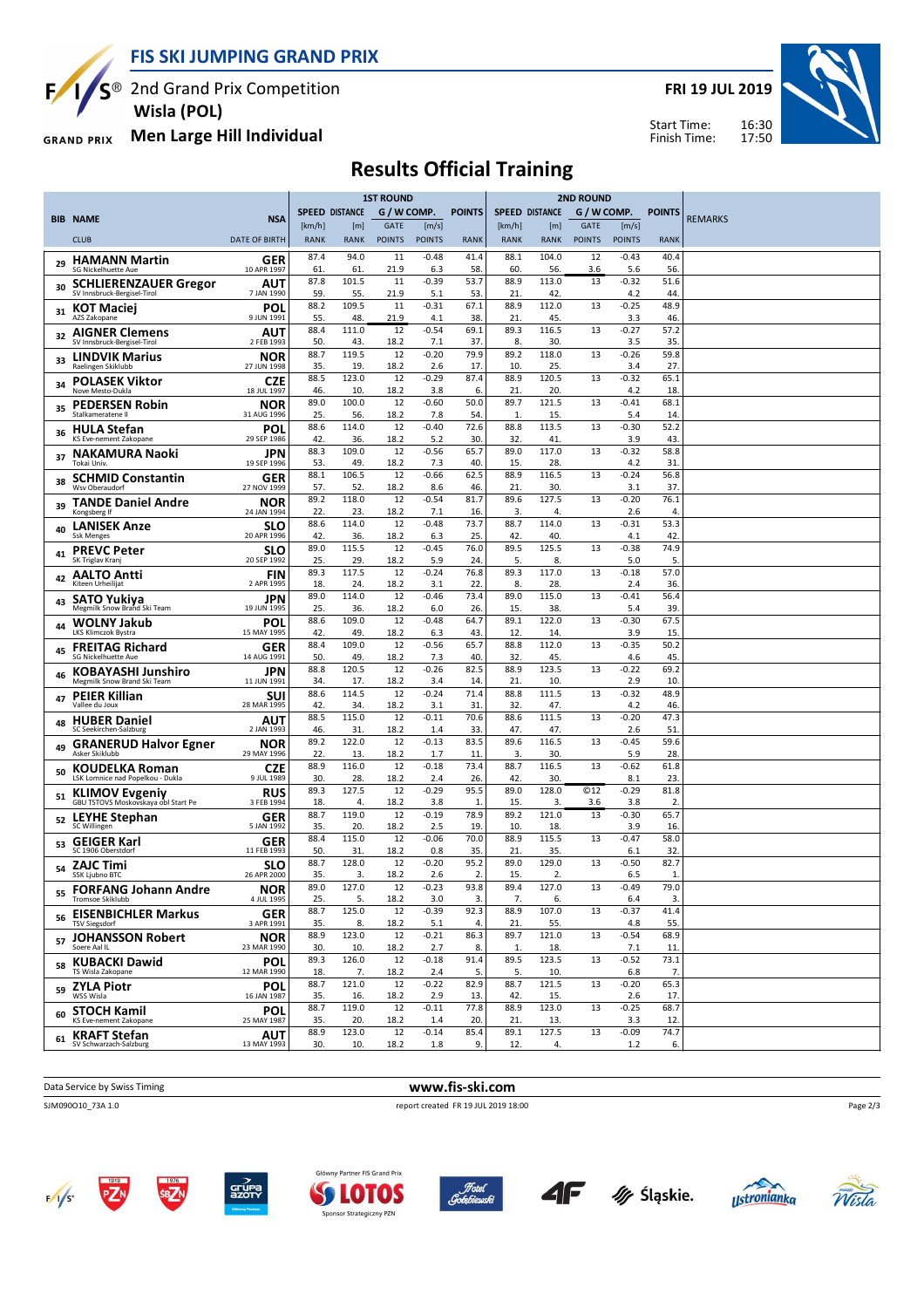S<sup>®</sup> 2nd Grand Prix Competition Б

 **Wisla (POL)**

**Men Large Hill Individual GRAND PRIX** 

**FRI 19 JUL 2019**



16:30 17:50 Start Time: Finish Time:

## **Results Official Training**

|    |                                                        |                           | <b>1ST ROUND</b>      |                       |                              | <b>2ND ROUND</b>          |               |                       |                       |                              |                           |                    |                |
|----|--------------------------------------------------------|---------------------------|-----------------------|-----------------------|------------------------------|---------------------------|---------------|-----------------------|-----------------------|------------------------------|---------------------------|--------------------|----------------|
|    | <b>BIB NAME</b>                                        | <b>NSA</b>                |                       | <b>SPEED DISTANCE</b> | G / W COMP.                  |                           | <b>POINTS</b> |                       | <b>SPEED DISTANCE</b> | G / W COMP.                  |                           | <b>POINTS</b>      | <b>REMARKS</b> |
|    | <b>CLUB</b>                                            | <b>DATE OF BIRTH</b>      | [km/h]<br><b>RANK</b> | [m]<br><b>RANK</b>    | <b>GATE</b><br><b>POINTS</b> | [m/s]<br><b>POINTS</b>    | <b>RANK</b>   | [km/h]<br><b>RANK</b> | [m]<br><b>RANK</b>    | <b>GATE</b><br><b>POINTS</b> | [m/s]<br><b>POINTS</b>    | <b>RANK</b>        |                |
| 29 | <b>HAMANN Martin</b>                                   | GER                       | 87.4                  | 94.0                  | 11                           | $-0.48$                   | 41.4          | 88.1                  | 104.0                 | 12                           | $-0.43$                   | 40.4               |                |
| 30 | SG Nickelhuette Aue<br><b>SCHLIERENZAUER Gregor</b>    | 10 APR 1997<br>AUT        | 61<br>87.8            | 61<br>101.5           | 21.9<br>11                   | 6.3<br>$-0.39$            | 58<br>53.7    | 60.<br>88.9           | 56.<br>113.0          | 3.6<br>13                    | 5.6<br>$-0.32$            | 56.<br>51.6        |                |
| 31 | SV Innsbruck-Bergisel-Tirol<br><b>KOT Maciej</b>       | 7 JAN 1990<br>POL         | 59.<br>88.2           | 55.<br>109.5          | 21.9<br>11                   | 5.1<br>$-0.31$            | 53<br>67.1    | 21<br>88.9            | 42.<br>112.0          | 13                           | 4.2<br>$-0.25$            | 44<br>48.9         |                |
| 32 | AZS Zakopane<br><b>AIGNER Clemens</b>                  | 9 JUN 1991<br>AUT         | 55.<br>88.4           | 48.<br>111.0          | 21.9<br>12                   | 4.1<br>$-0.54$            | 38<br>69.1    | 21<br>89.3            | 45.<br>116.5          | 13                           | 3.3<br>$-0.27$            | 46.<br>57.2        |                |
| 33 | SV Innsbruck-Bergisel-Tirol<br><b>LINDVIK Marius</b>   | 2 FEB 1993<br>NOR         | 50.<br>88.7           | 43.<br>119.5          | 18.2<br>12                   | 7.1<br>$-0.20$            | 37<br>79.9    | 8.<br>89.2            | 30.<br>118.0          | 13                           | 3.5<br>$-0.26$            | 35.<br>59.8        |                |
| 34 | Raelingen Skiklubb<br><b>POLASEK Viktor</b>            | 27 JUN 1998<br>CZE        | 35.<br>88.5           | 19.<br>123.0          | 18.2<br>12                   | 2.6<br>$-0.29$            | 17<br>87.4    | 10.<br>88.9           | 25.<br>120.5          | 13                           | 3.4<br>$-0.32$            | 27.<br>65.1        |                |
| 35 | Nove Mesto-Dukla<br><b>PEDERSEN Robin</b>              | 18 JUL 1997<br>NOR        | 46.<br>89.0           | 10.<br>100.0          | 18.2<br>12                   | 3.8<br>$-0.60$            | 6.<br>50.0    | 21.<br>89.7           | 20.<br>121.5          | 13                           | 4.2<br>$-0.41$            | 18.<br>68.1        |                |
| 36 | Stalkameratene II<br><b>HULA Stefan</b>                | 31 AUG 1996<br>POL        | 25.<br>88.6           | 56.<br>114.0          | 18.2<br>12                   | 7.8<br>$-0.40$            | 54<br>72.6    | $\mathbf{1}$<br>88.8  | 15.<br>113.5          | 13                           | 5.4<br>$-0.30$            | 14<br>52.2         |                |
| 37 | KS Eve-nement Zakopane<br>NAKAMURA Naoki               | 29 SEP 1986<br>JPN        | 42.<br>88.3           | 36.<br>109.0          | 18.2<br>12                   | 5.2<br>$-0.56$            | 30<br>65.7    | 32<br>89.0            | 41<br>117.0           | 13                           | 3.9<br>$-0.32$            | 43.<br>58.8        |                |
| 38 | Tokai Univ.<br><b>SCHMID Constantin</b>                | 19 SEP 1996<br>GER        | 53.<br>88.1           | 49.<br>106.5          | 18.2<br>12                   | 7.3<br>$-0.66$            | 40<br>62.5    | 15.<br>88.9           | 28.<br>116.5          | 13                           | 4.2<br>$-0.24$            | 31<br>56.8         |                |
| 39 | Wsv Oberaudorf<br><b>TANDE Daniel Andre</b>            | 27 NOV 1999<br>NOR        | 57.<br>89.2           | 52.<br>118.0          | 18.2<br>12                   | 8.6<br>$-0.54$            | 46.<br>81.7   | 21.<br>89.6           | 30.<br>127.5          | 13                           | 3.1<br>$-0.20$            | 37.<br>76.1        |                |
| 40 | Kongsberg If<br><b>LANISEK Anze</b>                    | 24 JAN 1994<br>SLO        | 22.<br>88.6           | 23.<br>114.0          | 18.2<br>12                   | 7.1<br>$-0.48$            | 16<br>73.7    | 3.<br>88.7            | 4.<br>114.0           | 13                           | 2.6<br>$-0.31$            | 4.<br>53.3         |                |
| 41 | <b>Ssk Menges</b><br><b>PREVC Peter</b>                | 20 APR 1996<br>SLO        | 42.<br>89.0           | 36.<br>115.5          | 18.2<br>12                   | 6.3<br>$-0.45$            | 25<br>76.0    | 42.<br>89.5           | 40.<br>125.5          | 13                           | 4.1<br>$-0.38$            | 42.<br>74.9        |                |
| 42 | SK Triglav Kranj<br><b>AALTO Antti</b>                 | 20 SEP 1992<br>FIN        | 25.<br>89.3           | 29.<br>117.5          | 18.2<br>12                   | 5.9<br>$-0.24$            | 24<br>76.8    | 5.<br>89.3            | 8.<br>117.0           | 13                           | 5.0<br>$-0.18$            | 5.<br>57.0         |                |
| 43 | Kiteen Urheilijat<br>SATO Yukiya                       | 2 APR 1995<br>JPN         | 18.<br>89.0           | 24.<br>114.0          | 18.2<br>12                   | 3.1<br>$-0.46$            | 22<br>73.4    | 8.<br>89.0            | 28.<br>115.0          | 13                           | 2.4<br>$-0.41$            | 36.<br>56.4        |                |
| 44 | Megmilk Snow Brand Ski Team<br><b>WOLNY Jakub</b>      | 19 JUN 1995<br>POL        | 25.<br>88.6           | 36.<br>109.0          | 18.2<br>12                   | 6.0<br>$-0.48$            | 26<br>64.7    | 15<br>89.1            | 38.<br>122.0          | 13                           | 5.4<br>$-0.30$            | 39.<br>67.5        |                |
| 45 | LKS Klimczok Bystra<br><b>FREITAG Richard</b>          | 15 MAY 1995<br>GER        | 42.<br>88.4           | 49.<br>109.0          | 18.2<br>12                   | 6.3<br>$-0.56$            | 43<br>65.7    | 12.<br>88.8           | 14.<br>112.0          | 13                           | 3.9<br>$-0.35$            | 15.<br>50.2        |                |
| 46 | SG Nickelhuette Aue<br>KOBAYASHI Junshiro              | 14 AUG 1991<br>JPN        | 50.<br>88.8           | 49.<br>120.5          | 18.2<br>12                   | 7.3<br>$-0.26$            | 40<br>82.5    | 32.<br>88.9           | 45.<br>123.5          | 13                           | 4.6<br>$-0.22$            | 45.<br>69.2        |                |
| 47 | Megmilk Snow Brand Ski Team<br><b>PEIER Killian</b>    | 11 JUN 1991<br><b>SUI</b> | 34.<br>88.6           | 17.<br>114.5          | 18.2<br>12                   | 3.4<br>$-0.24$            | 14<br>71.4    | 21<br>88.8            | 10.<br>111.5          | 13                           | 2.9<br>$-0.32$            | 10<br>48.9         |                |
|    | Vallee du Joux<br><b>HUBER Daniel</b>                  | 28 MAR 1995<br>AUT        | 42.<br>88.5           | 34.<br>115.0          | 18.2<br>12                   | 3.1<br>$-0.11$            | 31<br>70.6    | 32.<br>88.6           | 47.<br>111.5          | 13                           | 4.2<br>$-0.20$            | 46.<br>47.3        |                |
| 48 | SC Seekirchen-Salzburg<br><b>GRANERUD Halvor Egner</b> | 2 JAN 1993<br>NOR         | 46.<br>89.2           | 31.<br>122.0          | 18.2<br>12                   | 1.4<br>$-0.13$            | 33<br>83.5    | 47.<br>89.6           | 47.<br>116.5          | 13                           | 2.6<br>$-0.45$            | 51<br>59.6         |                |
| 49 | Asker Skiklubb<br><b>KOUDELKA Roman</b>                | 29 MAY 1996<br><b>CZE</b> | 22.<br>88.9           | 13.<br>116.0          | 18.2<br>12                   | 1.7<br>$-0.18$            | 11<br>73.4    | 3.<br>88.7            | 30.<br>116.5          | 13                           | 5.9<br>$-0.62$            | 28.<br>61.8        |                |
| 50 | LSK Lomnice nad Popelkou - Dukla                       | 9 JUL 1989<br><b>RUS</b>  | 30.<br>89.3           | 28.<br>127.5          | 18.2<br>12                   | 2.4<br>$-0.29$            | 26<br>95.5    | 42.<br>89.0           | 30.<br>128.0          | C <sub>12</sub>              | 8.1<br>$-0.29$            | 23.<br>81.8        |                |
| 51 | KLIMOV Evgeniy<br>GBU TSTOVS Moskovskaya obl Start Pe  | 3 FEB 1994                | 18.<br>88.7           | 4.<br>119.0           | 18.2<br>12                   | 3.8<br>$-0.19$            | 1.<br>78.9    | 15.<br>89.2           | 3.<br>121.0           | 3.6<br>13                    | 3.8<br>$-0.30$            | 2.<br>65.7         |                |
| 52 | <b>LEYHE Stephan</b><br>SC Willingen                   | <b>GER</b><br>5 JAN 1992  | 35.                   | 20.<br>115.0          | 18.2<br>12                   | 2.5                       | 19            | 10.<br>88.9           | 18.<br>115.5          |                              | 3.9                       | 16.                |                |
| 53 | <b>GEIGER Karl</b><br>SC 1906 Oberstdorf               | GER<br>11 FEB 1993        | 88.4<br>50.           | 31.                   | 18.2                         | $-0.06$<br>0.8            | 70.0<br>35    | 21.                   | 35.                   | 13                           | $-0.47$<br>6.1            | 58.0<br>32.        |                |
| 54 | <b>ZAJC Timi</b><br>SSK Ljubno BTC                     | SLO<br>26 APR 2000        | 88.7<br>35.<br>89.0   | 128.0<br>3.           | 12<br>18.2<br>12             | $-0.20$<br>2.6<br>$-0.23$ | 95.2<br>2.    | 89.0<br>15.<br>89.4   | 129.0<br>2.<br>127.0  | 13                           | $-0.50$<br>6.5<br>$-0.49$ | 82.7<br>1,<br>79.0 |                |
| 55 | <b>FORFANG Johann Andre</b><br>Tromsoe Skiklubb        | <b>NOR</b><br>4 JUL 1995  | 25.                   | 127.0<br>5.           | 18.2                         | 3.0                       | 93.8<br>3.    | 7.                    | 6.                    | 13                           | 6.4                       | 3.                 |                |
| 56 | <b>EISENBICHLER Markus</b><br><b>TSV Siegsdorf</b>     | GER<br>3 APR 1991         | 88.7<br>35.           | 125.0<br>8.           | 12<br>18.2                   | $-0.39$<br>5.1            | 92.3<br>4.    | 88.9<br>21.           | 107.0<br>55.          | 13                           | $-0.37$<br>4.8            | 41.4<br>55.        |                |
|    | 57 JOHANSSON Robert<br>Soere Aal IL                    | <b>NOR</b><br>23 MAR 1990 | 88.9<br>30.           | 123.0<br>10.          | 12<br>18.2                   | $-0.21$<br>2.7            | 86.3<br>8.    | 89.7<br>1.            | 121.0<br>18.          | 13                           | $-0.54$<br>7.1            | 68.9<br>11         |                |
| 58 | <b>KUBACKI Dawid</b><br>TS Wisla Zakopane              | <b>POL</b><br>12 MAR 1990 | 89.3<br>18.           | 126.0<br>7.           | 12<br>18.2                   | $-0.18$<br>2.4            | 91.4<br>5.    | 89.5<br>5.            | 123.5<br>10.          | 13                           | $-0.52$<br>6.8            | 73.1<br>7.         |                |
|    | <sub>59</sub> ZYLA Piotr<br>WSS Wisla                  | <b>POL</b><br>16 JAN 1987 | 88.7<br>35.           | 121.0<br>16.          | 12<br>18.2                   | $-0.22$<br>2.9            | 82.9<br>13    | 88.7<br>42.           | 121.5<br>15.          | 13                           | $-0.20$<br>2.6            | 65.3<br>17.        |                |
| 60 | <b>STOCH Kamil</b><br>KS Eve-nement Zakopane           | <b>POL</b><br>25 MAY 1987 | 88.7<br>35.           | 119.0<br>20.          | 12<br>18.2                   | $-0.11$<br>1.4            | 77.8<br>20.   | 88.9<br>21.           | 123.0<br>13.          | 13                           | $-0.25$<br>3.3            | 68.7<br>12.        |                |
|    | 61 KRAFT Stefan<br>SV Schwarzach-Salzburg              | <b>AUT</b><br>13 MAY 1993 | 88.9<br>30.           | 123.0<br>10.          | 12<br>18.2                   | $-0.14$<br>1.8            | 85.4<br>9.    | 89.1<br>12.           | 127.5<br>4.           | 13                           | $-0.09$<br>1.2            | 74.7<br>6.         |                |

**Data Service by Swiss Timing WWW.fis-ski.com** 

SJM090O10\_73A 1.0 report created FR 19 JUL 2019 18:00

 $\sqrt{s}$ 















Page 2/3